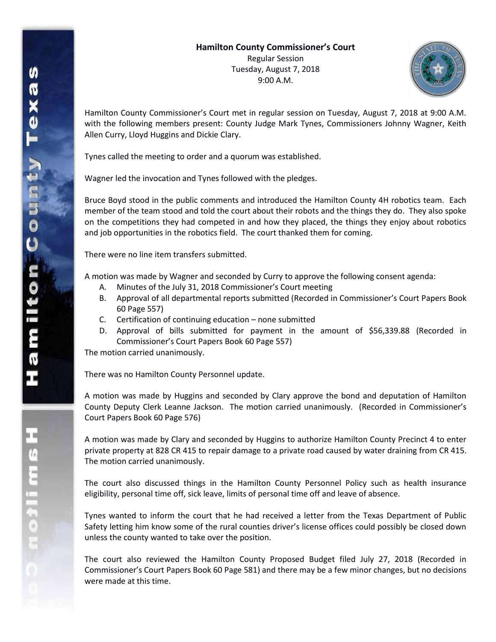

Hamilton County Commissioner's Court met in regular session on Tuesday, August 7, 2018 at 9:00 A.M. with the following members present: County Judge Mark Tynes, Commissioners Johnny Wagner, Keith Allen Curry, Lloyd Huggins and Dickie Clary.

Tynes called the meeting to order and a quorum was established.

Wagner led the invocation and Tynes followed with the pledges.

Bruce Boyd stood in the public comments and introduced the Hamilton County 4H robotics team. Each member of the team stood and told the court about their robots and the things they do. They also spoke on the competitions they had competed in and how they placed, the things they enjoy about robotics and job opportunities in the robotics field. The court thanked them for coming.

There were no line item transfers submitted.

A motion was made by Wagner and seconded by Curry to approve the following consent agenda:

- A. Minutes of the July 31, 2018 Commissioner's Court meeting
- B. Approval of all departmental reports submitted (Recorded in Commissioner's Court Papers Book 60 Page 557)
- C. Certification of continuing education none submitted
- D. Approval of bills submitted for payment in the amount of \$56,339.88 (Recorded in Commissioner's Court Papers Book 60 Page 557)

The motion carried unanimously.

There was no Hamilton County Personnel update.

A motion was made by Huggins and seconded by Clary approve the bond and deputation of Hamilton County Deputy Clerk Leanne Jackson. The motion carried unanimously. (Recorded in Commissioner's Court Papers Book 60 Page 576)

A motion was made by Clary and seconded by Huggins to authorize Hamilton County Precinct 4 to enter private property at 828 CR 415 to repair damage to a private road caused by water draining from CR 415. The motion carried unanimously.

The court also discussed things in the Hamilton County Personnel Policy such as health insurance eligibility, personal time off, sick leave, limits of personal time off and leave of absence.

Tynes wanted to inform the court that he had received a letter from the Texas Department of Public Safety letting him know some of the rural counties driver's license offices could possibly be closed down unless the county wanted to take over the position.

The court also reviewed the Hamilton County Proposed Budget filed July 27, 2018 (Recorded in Commissioner's Court Papers Book 60 Page 581) and there may be a few minor changes, but no decisions were made at this time.